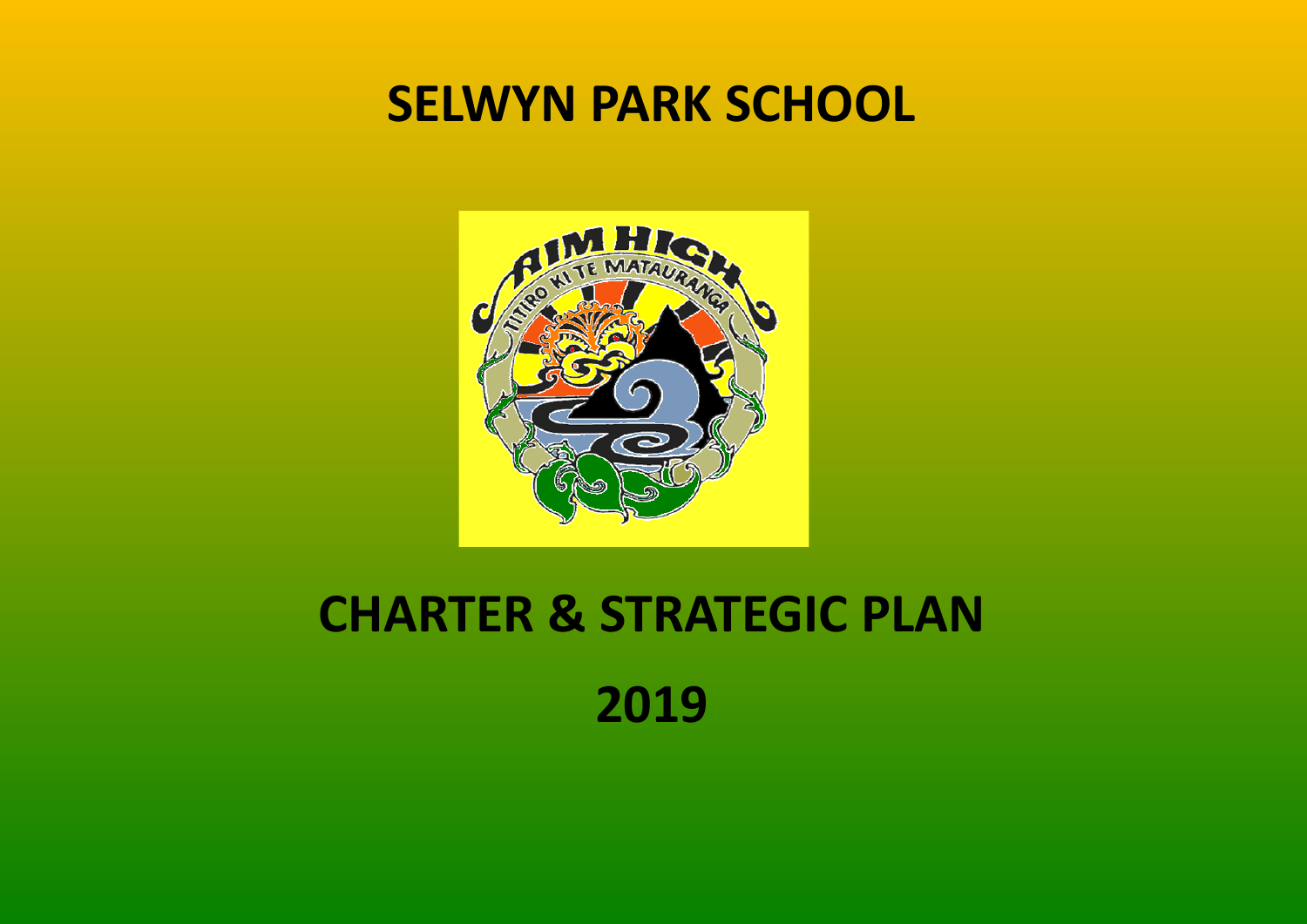## **SELWYN PARK SCHOOL**



# **CHARTER & STRATEGIC PLAN 2019**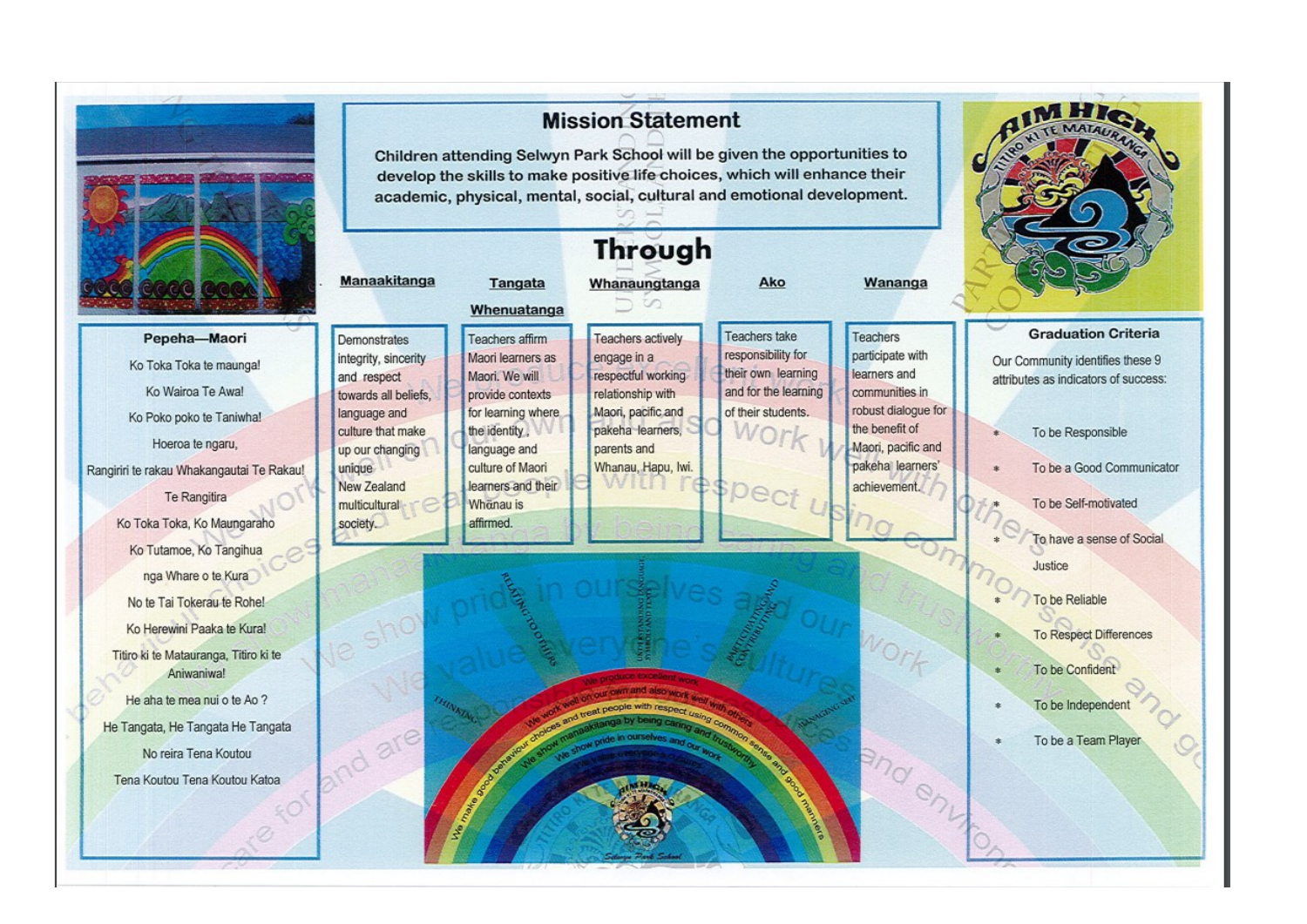

Pepeha-Maori Ko Toka Toka te maunga! Ko Wairoa Te Awal Ko Poko poko te Taniwha! Hoeroa te ngaru, Rangiriri te rakau Whakangautai Te Rakau! Te Rangitira Ko Toka Toka, Ko Maungaraho Ko Tutamoe, Ko Tangihua nga Whare o te Kura No te Tai Tokerau te Rohe! Ko Herewini Paaka te Kura! Titiro ki te Matauranga, Titiro ki te Aniwaniwa!

He aha te mea nui o te Ao ? He Tangata, He Tangata He Tangata No reira Tena Koutou Tena Koutou Tena Koutou Katoa

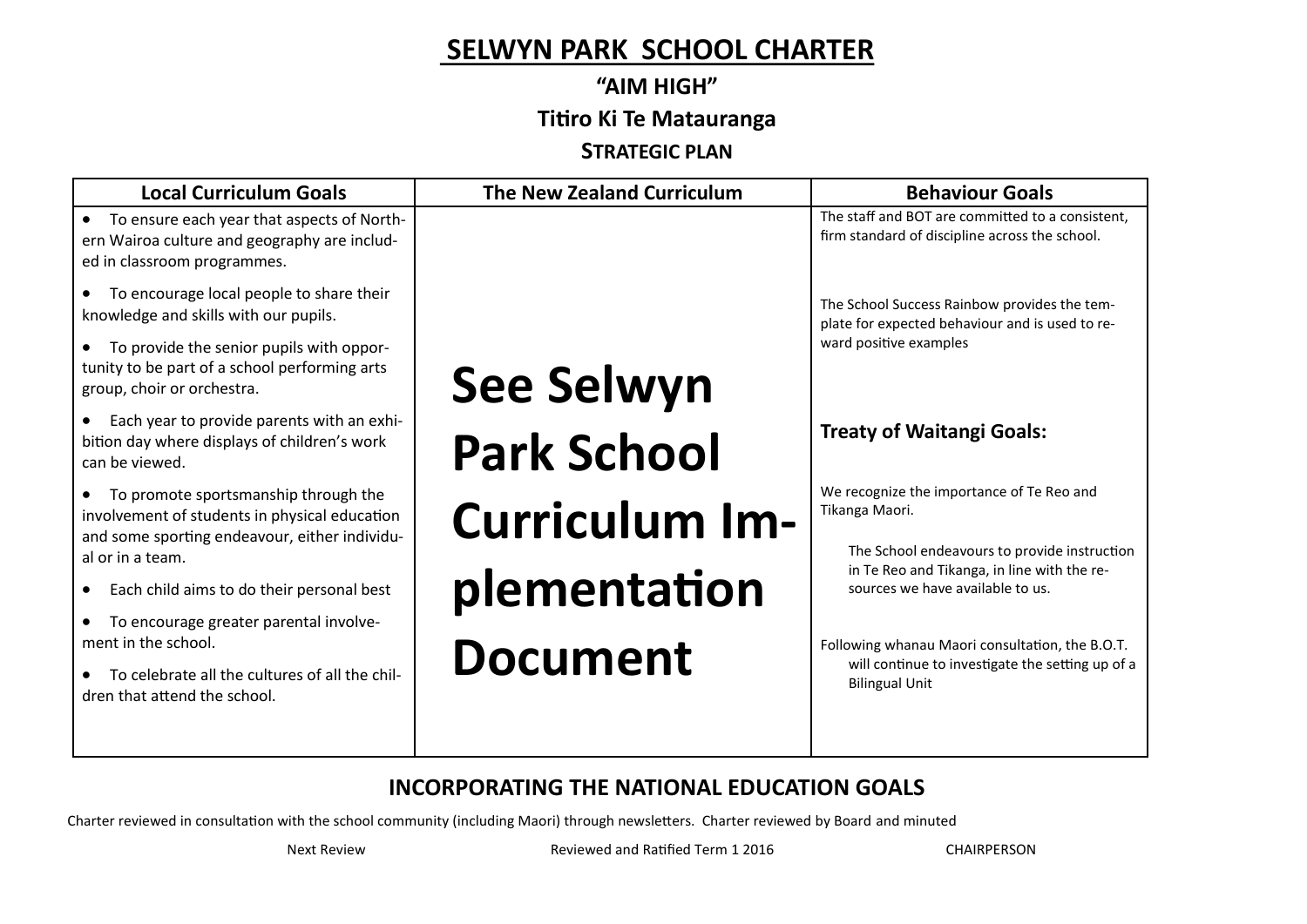#### **SELWYN PARK SCHOOL CHARTER**

### **"AIM HIGH" Titiro Ki Te Matauranga**

**STRATEGIC PLAN**

| <b>Local Curriculum Goals</b>                                                                                                          | <b>The New Zealand Curriculum</b> | <b>Behaviour Goals</b>                                                                                                          |
|----------------------------------------------------------------------------------------------------------------------------------------|-----------------------------------|---------------------------------------------------------------------------------------------------------------------------------|
| To ensure each year that aspects of North-<br>ern Wairoa culture and geography are includ-<br>ed in classroom programmes.              |                                   | The staff and BOT are committed to a consistent,<br>firm standard of discipline across the school.                              |
| To encourage local people to share their<br>knowledge and skills with our pupils.                                                      |                                   | The School Success Rainbow provides the tem-<br>plate for expected behaviour and is used to re-<br>ward positive examples       |
| To provide the senior pupils with oppor-<br>tunity to be part of a school performing arts<br>group, choir or orchestra.                | <b>See Selwyn</b>                 |                                                                                                                                 |
| Each year to provide parents with an exhi-<br>bition day where displays of children's work<br>can be viewed.                           | <b>Park School</b>                | <b>Treaty of Waitangi Goals:</b>                                                                                                |
| To promote sportsmanship through the<br>involvement of students in physical education<br>and some sporting endeavour, either individu- | <b>Curriculum Im-</b>             | We recognize the importance of Te Reo and<br>Tikanga Maori.                                                                     |
| al or in a team.<br>Each child aims to do their personal best                                                                          | plementation                      | The School endeavours to provide instruction<br>in Te Reo and Tikanga, in line with the re-<br>sources we have available to us. |
| To encourage greater parental involve-<br>ment in the school.<br>To celebrate all the cultures of all the chil-                        | <b>Document</b>                   | Following whanau Maori consultation, the B.O.T.<br>will continue to investigate the setting up of a<br><b>Bilingual Unit</b>    |
| dren that attend the school.                                                                                                           |                                   |                                                                                                                                 |

#### **INCORPORATING THE NATIONAL EDUCATION GOALS**

Charter reviewed in consultation with the school community (including Maori) through newsletters. Charter reviewed by Board and minuted

Next Review **Reviewed and Ratified Term 1 2016** CHAIRPERSON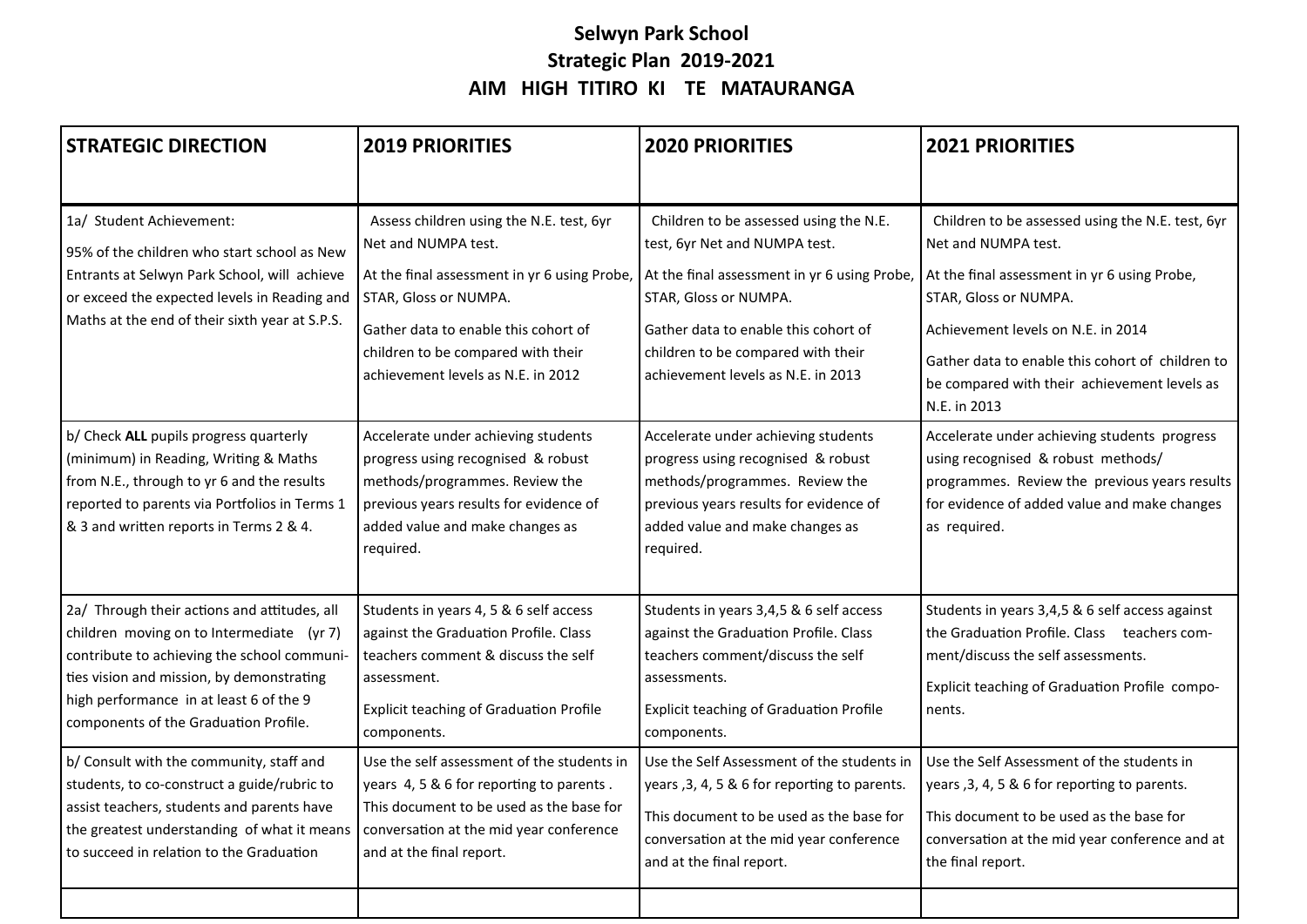#### **Selwyn Park School Strategic Plan 2019-2021 AIM HIGH TITIRO KI TE MATAURANGA**

| <b>STRATEGIC DIRECTION</b>                                                                                                                                                                                                                                                | <b>2019 PRIORITIES</b>                                                                                                                                                                                                                                       | <b>2020 PRIORITIES</b>                                                                                                                                                                                                                                               | <b>2021 PRIORITIES</b>                                                                                                                                                                                                                                                                                     |
|---------------------------------------------------------------------------------------------------------------------------------------------------------------------------------------------------------------------------------------------------------------------------|--------------------------------------------------------------------------------------------------------------------------------------------------------------------------------------------------------------------------------------------------------------|----------------------------------------------------------------------------------------------------------------------------------------------------------------------------------------------------------------------------------------------------------------------|------------------------------------------------------------------------------------------------------------------------------------------------------------------------------------------------------------------------------------------------------------------------------------------------------------|
| 1a/ Student Achievement:<br>95% of the children who start school as New<br>Entrants at Selwyn Park School, will achieve<br>or exceed the expected levels in Reading and<br>Maths at the end of their sixth year at S.P.S.                                                 | Assess children using the N.E. test, 6yr<br>Net and NUMPA test.<br>At the final assessment in yr 6 using Probe,<br>STAR, Gloss or NUMPA.<br>Gather data to enable this cohort of<br>children to be compared with their<br>achievement levels as N.E. in 2012 | Children to be assessed using the N.E.<br>test, 6yr Net and NUMPA test.<br>At the final assessment in yr 6 using Probe,<br>STAR, Gloss or NUMPA.<br>Gather data to enable this cohort of<br>children to be compared with their<br>achievement levels as N.E. in 2013 | Children to be assessed using the N.E. test, 6yr<br>Net and NUMPA test.<br>At the final assessment in yr 6 using Probe,<br>STAR, Gloss or NUMPA.<br>Achievement levels on N.E. in 2014<br>Gather data to enable this cohort of children to<br>be compared with their achievement levels as<br>N.E. in 2013 |
| b/ Check ALL pupils progress quarterly<br>(minimum) in Reading, Writing & Maths<br>from N.E., through to yr 6 and the results<br>reported to parents via Portfolios in Terms 1<br>& 3 and written reports in Terms 2 & 4.                                                 | Accelerate under achieving students<br>progress using recognised & robust<br>methods/programmes. Review the<br>previous years results for evidence of<br>added value and make changes as<br>required.                                                        | Accelerate under achieving students<br>progress using recognised & robust<br>methods/programmes. Review the<br>previous years results for evidence of<br>added value and make changes as<br>required.                                                                | Accelerate under achieving students progress<br>using recognised & robust methods/<br>programmes. Review the previous years results<br>for evidence of added value and make changes<br>as required.                                                                                                        |
| 2a/ Through their actions and attitudes, all<br>children moving on to Intermediate (yr 7)<br>contribute to achieving the school communi-<br>ties vision and mission, by demonstrating<br>high performance in at least 6 of the 9<br>components of the Graduation Profile. | Students in years 4, 5 & 6 self access<br>against the Graduation Profile. Class<br>teachers comment & discuss the self<br>assessment.<br><b>Explicit teaching of Graduation Profile</b><br>components.                                                       | Students in years 3,4,5 & 6 self access<br>against the Graduation Profile. Class<br>teachers comment/discuss the self<br>assessments.<br><b>Explicit teaching of Graduation Profile</b><br>components.                                                               | Students in years 3,4,5 & 6 self access against<br>the Graduation Profile. Class teachers com-<br>ment/discuss the self assessments.<br>Explicit teaching of Graduation Profile compo-<br>nents.                                                                                                           |
| b/ Consult with the community, staff and<br>students, to co-construct a guide/rubric to<br>assist teachers, students and parents have<br>the greatest understanding of what it means<br>to succeed in relation to the Graduation                                          | Use the self assessment of the students in<br>years 4, 5 & 6 for reporting to parents.<br>This document to be used as the base for<br>conversation at the mid year conference<br>and at the final report.                                                    | Use the Self Assessment of the students in<br>years, 3, 4, 5 & 6 for reporting to parents.<br>This document to be used as the base for<br>conversation at the mid year conference<br>and at the final report.                                                        | Use the Self Assessment of the students in<br>years, 3, 4, 5 & 6 for reporting to parents.<br>This document to be used as the base for<br>conversation at the mid year conference and at<br>the final report.                                                                                              |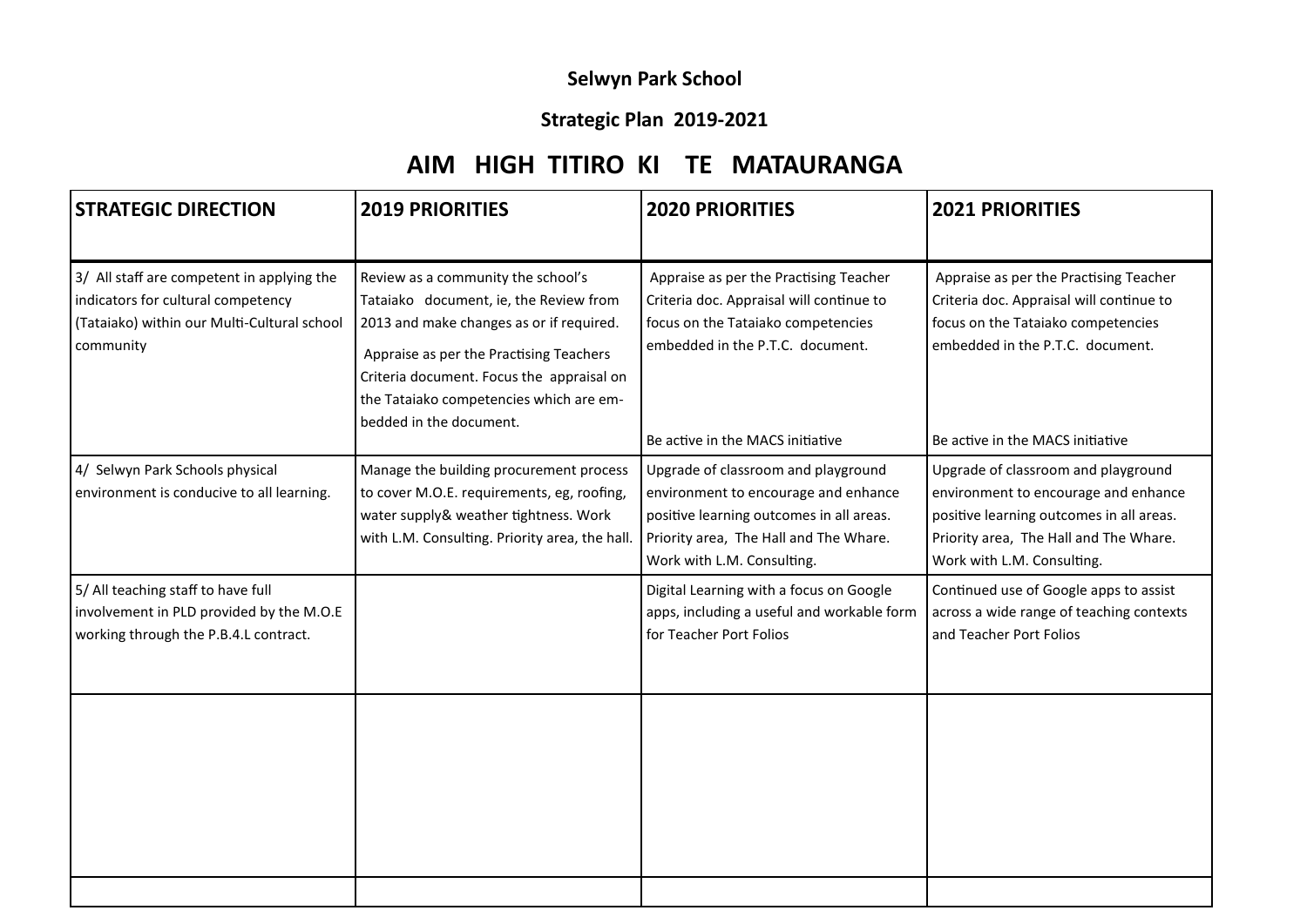#### **Selwyn Park School**

#### **Strategic Plan 2019-2021**

#### **AIM HIGH TITIRO KI TE MATAURANGA**

| <b>STRATEGIC DIRECTION</b>                                                                                                                   | <b>2019 PRIORITIES</b>                                                                                                                                                                                                                                                                 | <b>2020 PRIORITIES</b>                                                                                                                                                                           | <b>2021 PRIORITIES</b>                                                                                                                                                                           |
|----------------------------------------------------------------------------------------------------------------------------------------------|----------------------------------------------------------------------------------------------------------------------------------------------------------------------------------------------------------------------------------------------------------------------------------------|--------------------------------------------------------------------------------------------------------------------------------------------------------------------------------------------------|--------------------------------------------------------------------------------------------------------------------------------------------------------------------------------------------------|
| 3/ All staff are competent in applying the<br>indicators for cultural competency<br>(Tataiako) within our Multi-Cultural school<br>community | Review as a community the school's<br>Tataiako document, ie, the Review from<br>2013 and make changes as or if required.<br>Appraise as per the Practising Teachers<br>Criteria document. Focus the appraisal on<br>the Tataiako competencies which are em-<br>bedded in the document. | Appraise as per the Practising Teacher<br>Criteria doc. Appraisal will continue to<br>focus on the Tataiako competencies<br>embedded in the P.T.C. document.<br>Be active in the MACS initiative | Appraise as per the Practising Teacher<br>Criteria doc. Appraisal will continue to<br>focus on the Tataiako competencies<br>embedded in the P.T.C. document.<br>Be active in the MACS initiative |
| 4/ Selwyn Park Schools physical<br>environment is conducive to all learning.                                                                 | Manage the building procurement process<br>to cover M.O.E. requirements, eg, roofing,<br>water supply& weather tightness. Work<br>with L.M. Consulting. Priority area, the hall.                                                                                                       | Upgrade of classroom and playground<br>environment to encourage and enhance<br>positive learning outcomes in all areas.<br>Priority area, The Hall and The Whare.<br>Work with L.M. Consulting.  | Upgrade of classroom and playground<br>environment to encourage and enhance<br>positive learning outcomes in all areas.<br>Priority area, The Hall and The Whare.<br>Work with L.M. Consulting.  |
| 5/ All teaching staff to have full<br>involvement in PLD provided by the M.O.E<br>working through the P.B.4.L contract.                      |                                                                                                                                                                                                                                                                                        | Digital Learning with a focus on Google<br>apps, including a useful and workable form<br>for Teacher Port Folios                                                                                 | Continued use of Google apps to assist<br>across a wide range of teaching contexts<br>and Teacher Port Folios                                                                                    |
|                                                                                                                                              |                                                                                                                                                                                                                                                                                        |                                                                                                                                                                                                  |                                                                                                                                                                                                  |
|                                                                                                                                              |                                                                                                                                                                                                                                                                                        |                                                                                                                                                                                                  |                                                                                                                                                                                                  |